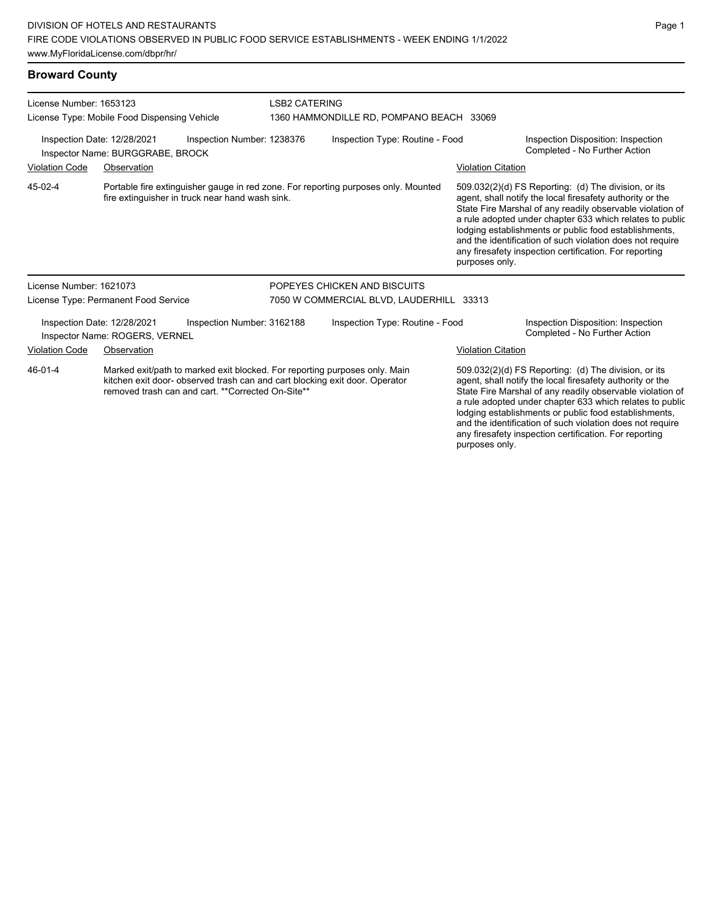**Broward County**

| License Number: 1653123                                                                                                                                                                                                    |                                      |                                                 | <b>LSB2 CATERING</b>                     |                                                                                                                                                                                                                                            |                           |                                                                                                                                                                                                                                                                                                                                                                                                                            |  |  |
|----------------------------------------------------------------------------------------------------------------------------------------------------------------------------------------------------------------------------|--------------------------------------|-------------------------------------------------|------------------------------------------|--------------------------------------------------------------------------------------------------------------------------------------------------------------------------------------------------------------------------------------------|---------------------------|----------------------------------------------------------------------------------------------------------------------------------------------------------------------------------------------------------------------------------------------------------------------------------------------------------------------------------------------------------------------------------------------------------------------------|--|--|
| License Type: Mobile Food Dispensing Vehicle                                                                                                                                                                               |                                      |                                                 | 1360 HAMMONDILLE RD, POMPANO BEACH 33069 |                                                                                                                                                                                                                                            |                           |                                                                                                                                                                                                                                                                                                                                                                                                                            |  |  |
| Inspection Number: 1238376<br>Inspection Date: 12/28/2021<br>Inspector Name: BURGGRABE, BROCK                                                                                                                              |                                      |                                                 | Inspection Type: Routine - Food          |                                                                                                                                                                                                                                            |                           | Inspection Disposition: Inspection<br>Completed - No Further Action                                                                                                                                                                                                                                                                                                                                                        |  |  |
| <b>Violation Code</b><br>Observation                                                                                                                                                                                       |                                      |                                                 |                                          |                                                                                                                                                                                                                                            | <b>Violation Citation</b> |                                                                                                                                                                                                                                                                                                                                                                                                                            |  |  |
| 45-02-4                                                                                                                                                                                                                    |                                      | fire extinguisher in truck near hand wash sink. |                                          | Portable fire extinguisher gauge in red zone. For reporting purposes only. Mounted                                                                                                                                                         | purposes only.            | 509.032(2)(d) FS Reporting: (d) The division, or its<br>agent, shall notify the local firesafety authority or the<br>State Fire Marshal of any readily observable violation of<br>a rule adopted under chapter 633 which relates to public<br>lodging establishments or public food establishments,<br>and the identification of such violation does not require<br>any firesafety inspection certification. For reporting |  |  |
| License Number: 1621073                                                                                                                                                                                                    |                                      |                                                 |                                          | POPEYES CHICKEN AND BISCUITS                                                                                                                                                                                                               |                           |                                                                                                                                                                                                                                                                                                                                                                                                                            |  |  |
|                                                                                                                                                                                                                            | License Type: Permanent Food Service |                                                 | 7050 W COMMERCIAL BLVD, LAUDERHILL 33313 |                                                                                                                                                                                                                                            |                           |                                                                                                                                                                                                                                                                                                                                                                                                                            |  |  |
| Inspection Date: 12/28/2021<br>Inspection Number: 3162188<br>Inspector Name: ROGERS, VERNEL                                                                                                                                |                                      |                                                 | Inspection Type: Routine - Food          |                                                                                                                                                                                                                                            |                           | Inspection Disposition: Inspection<br>Completed - No Further Action                                                                                                                                                                                                                                                                                                                                                        |  |  |
| <b>Violation Code</b><br>Observation                                                                                                                                                                                       |                                      |                                                 |                                          |                                                                                                                                                                                                                                            | <b>Violation Citation</b> |                                                                                                                                                                                                                                                                                                                                                                                                                            |  |  |
| Marked exit/path to marked exit blocked. For reporting purposes only. Main<br>46-01-4<br>kitchen exit door- observed trash can and cart blocking exit door. Operator<br>removed trash can and cart. ** Corrected On-Site** |                                      |                                                 |                                          | 509.032(2)(d) FS Reporting: (d) The division, or its<br>agent, shall notify the local firesafety authority or the<br>State Fire Marshal of any readily observable violation of<br>a rule adopted under chapter 633 which relates to public |                           |                                                                                                                                                                                                                                                                                                                                                                                                                            |  |  |

a rule adopted under chapter 633 which relates to public lodging establishments or public food establishments, and the identification of such violation does not require any firesafety inspection certification. For reporting purposes only.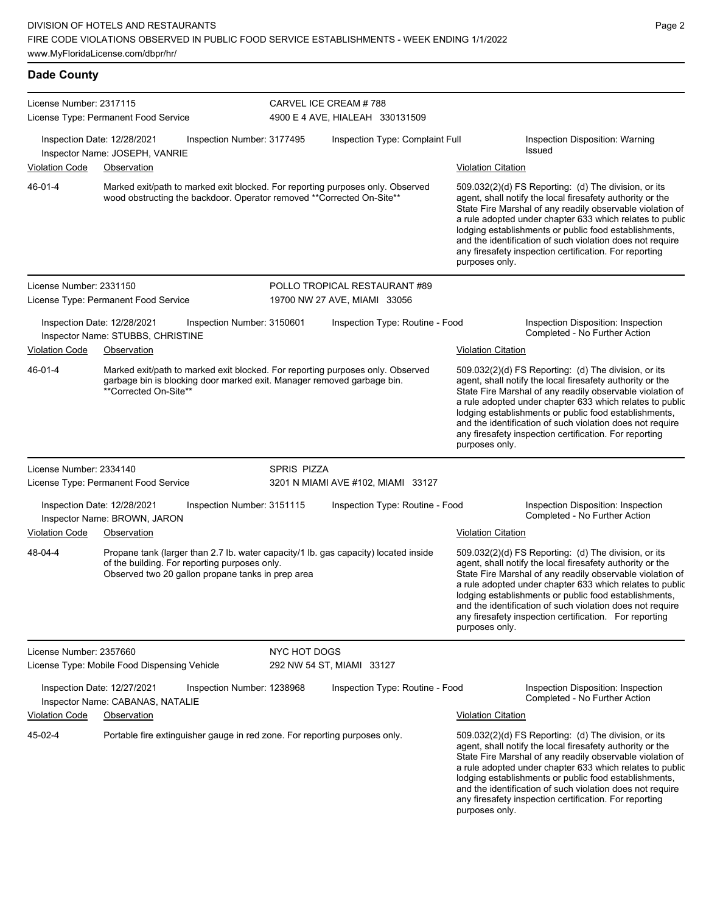**Dade County**

| License Number: 2317115 |                                                                                                                                                                                           |              | CARVEL ICE CREAM #788              |                                                                                                                                                                                                                                                                                                                                                                                                                                              |
|-------------------------|-------------------------------------------------------------------------------------------------------------------------------------------------------------------------------------------|--------------|------------------------------------|----------------------------------------------------------------------------------------------------------------------------------------------------------------------------------------------------------------------------------------------------------------------------------------------------------------------------------------------------------------------------------------------------------------------------------------------|
|                         | License Type: Permanent Food Service                                                                                                                                                      |              | 4900 E 4 AVE, HIALEAH 330131509    |                                                                                                                                                                                                                                                                                                                                                                                                                                              |
|                         | Inspection Date: 12/28/2021<br>Inspection Number: 3177495<br>Inspector Name: JOSEPH, VANRIE                                                                                               |              | Inspection Type: Complaint Full    | Inspection Disposition: Warning<br>Issued                                                                                                                                                                                                                                                                                                                                                                                                    |
| <b>Violation Code</b>   | Observation                                                                                                                                                                               |              |                                    | <b>Violation Citation</b>                                                                                                                                                                                                                                                                                                                                                                                                                    |
| 46-01-4                 | Marked exit/path to marked exit blocked. For reporting purposes only. Observed<br>wood obstructing the backdoor. Operator removed **Corrected On-Site**                                   |              |                                    | 509.032(2)(d) FS Reporting: (d) The division, or its<br>agent, shall notify the local firesafety authority or the<br>State Fire Marshal of any readily observable violation of<br>a rule adopted under chapter 633 which relates to public<br>lodging establishments or public food establishments,<br>and the identification of such violation does not require<br>any firesafety inspection certification. For reporting<br>purposes only. |
| License Number: 2331150 |                                                                                                                                                                                           |              | POLLO TROPICAL RESTAURANT #89      |                                                                                                                                                                                                                                                                                                                                                                                                                                              |
|                         | License Type: Permanent Food Service                                                                                                                                                      |              | 19700 NW 27 AVE, MIAMI 33056       |                                                                                                                                                                                                                                                                                                                                                                                                                                              |
|                         | Inspection Date: 12/28/2021<br>Inspection Number: 3150601<br>Inspector Name: STUBBS, CHRISTINE                                                                                            |              | Inspection Type: Routine - Food    | Inspection Disposition: Inspection<br>Completed - No Further Action                                                                                                                                                                                                                                                                                                                                                                          |
| <b>Violation Code</b>   | Observation                                                                                                                                                                               |              |                                    | <b>Violation Citation</b>                                                                                                                                                                                                                                                                                                                                                                                                                    |
| 46-01-4                 | Marked exit/path to marked exit blocked. For reporting purposes only. Observed<br>garbage bin is blocking door marked exit. Manager removed garbage bin.<br>**Corrected On-Site**         |              |                                    | 509.032(2)(d) FS Reporting: (d) The division, or its<br>agent, shall notify the local firesafety authority or the<br>State Fire Marshal of any readily observable violation of<br>a rule adopted under chapter 633 which relates to public<br>lodging establishments or public food establishments,<br>and the identification of such violation does not require<br>any firesafety inspection certification. For reporting<br>purposes only. |
| License Number: 2334140 |                                                                                                                                                                                           | SPRIS PIZZA  |                                    |                                                                                                                                                                                                                                                                                                                                                                                                                                              |
|                         | License Type: Permanent Food Service                                                                                                                                                      |              | 3201 N MIAMI AVE #102, MIAMI 33127 |                                                                                                                                                                                                                                                                                                                                                                                                                                              |
|                         | Inspection Date: 12/28/2021<br>Inspection Number: 3151115<br>Inspector Name: BROWN, JARON                                                                                                 |              | Inspection Type: Routine - Food    | Inspection Disposition: Inspection<br>Completed - No Further Action                                                                                                                                                                                                                                                                                                                                                                          |
| <b>Violation Code</b>   | Observation                                                                                                                                                                               |              |                                    | <b>Violation Citation</b>                                                                                                                                                                                                                                                                                                                                                                                                                    |
| 48-04-4                 | Propane tank (larger than 2.7 lb. water capacity/1 lb. gas capacity) located inside<br>of the building. For reporting purposes only.<br>Observed two 20 gallon propane tanks in prep area |              |                                    | 509.032(2)(d) FS Reporting: (d) The division, or its<br>agent, shall notify the local firesafety authority or the<br>State Fire Marshal of any readily observable violation of<br>a rule adopted under chapter 633 which relates to public<br>lodging establishments or public food establishments,<br>and the identification of such violation does not require<br>any firesafety inspection certification. For reporting<br>purposes only. |
| License Number: 2357660 |                                                                                                                                                                                           | NYC HOT DOGS |                                    |                                                                                                                                                                                                                                                                                                                                                                                                                                              |
|                         | License Type: Mobile Food Dispensing Vehicle                                                                                                                                              |              | 292 NW 54 ST, MIAMI 33127          |                                                                                                                                                                                                                                                                                                                                                                                                                                              |
|                         | Inspection Date: 12/27/2021<br>Inspection Number: 1238968<br>Inspector Name: CABANAS, NATALIE                                                                                             |              | Inspection Type: Routine - Food    | Inspection Disposition: Inspection<br>Completed - No Further Action                                                                                                                                                                                                                                                                                                                                                                          |
| <b>Violation Code</b>   | Observation                                                                                                                                                                               |              |                                    | <b>Violation Citation</b>                                                                                                                                                                                                                                                                                                                                                                                                                    |
| 45-02-4                 | Portable fire extinguisher gauge in red zone. For reporting purposes only.                                                                                                                |              |                                    | 509.032(2)(d) FS Reporting: (d) The division, or its<br>agent, shall notify the local firesafety authority or the<br>State Fire Marshal of any readily observable violation of<br>a rule adopted under chapter 633 which relates to public<br>lodging establishments or public food establishments,<br>and the identification of such violation does not require<br>any firesafety inspection certification. For reporting<br>purposes only. |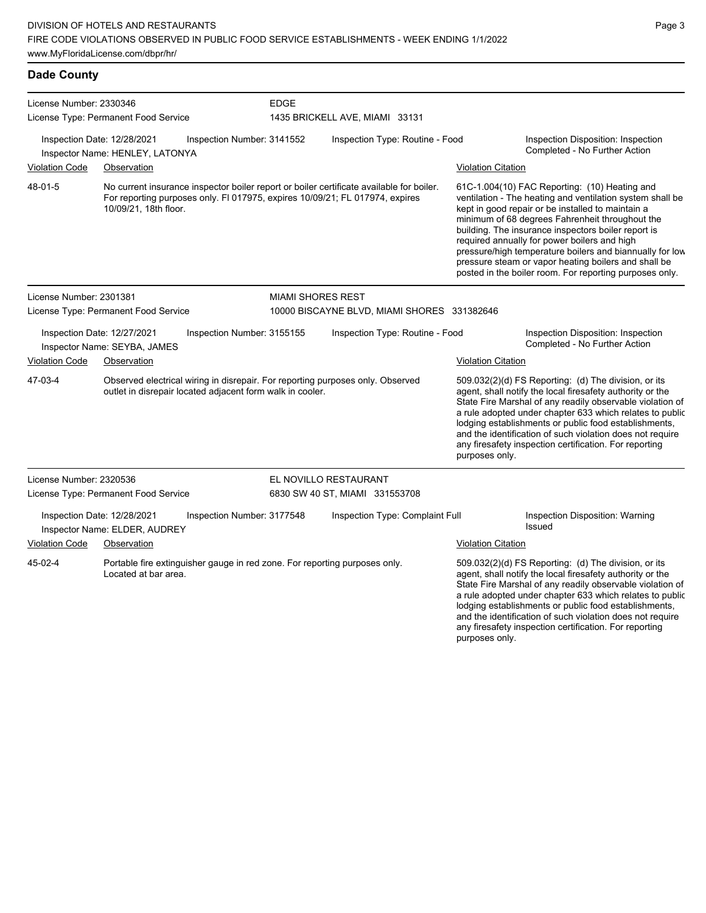**Dade County** License Number: 2330346 License Type: Permanent Food Service EDGE 1435 BRICKELL AVE, MIAMI 33131 Inspection Date: 12/28/2021 Inspection Number: 3141552 Inspection Type: Routine - Food Inspection Disposition: Inspection Completed - No Further Action Inspector Name: HENLEY, LATONYA Violation Code Observation Violation Citation No current insurance inspector boiler report or boiler certificate available for boiler. For reporting purposes only. Fl 017975, expires 10/09/21; FL 017974, expires 10/09/21, 18th floor. 61C-1.004(10) FAC Reporting: (10) Heating and ventilation - The heating and ventilation system shall be kept in good repair or be installed to maintain a minimum of 68 degrees Fahrenheit throughout the building. The insurance inspectors boiler report is required annually for power boilers and high pressure/high temperature boilers and biannually for low pressure steam or vapor heating boilers and shall be posted in the boiler room. For reporting purposes only. 48-01-5 License Number: 2301381 License Type: Permanent Food Service MIAMI SHORES REST 10000 BISCAYNE BLVD, MIAMI SHORES 331382646 Inspection Date: 12/27/2021 Inspection Number: 3155155 Inspection Type: Routine - Food Inspection Disposition: Inspection Inspector Name: SEYBA, JAMES Violation Code Observation Violation Citation Observed electrical wiring in disrepair. For reporting purposes only. Observed outlet in disrepair located adjacent form walk in cooler. 509.032(2)(d) FS Reporting: (d) The division, or its agent, shall notify the local firesafety authority or the State Fire Marshal of any readily observable violation of a rule adopted under chapter 633 which relates to public lodging establishments or public food establishments, and the identification of such violation does not require any firesafety inspection certification. For reporting purposes only. 47-03-4 License Number: 2320536 License Type: Permanent Food Service EL NOVILLO RESTAURANT 6830 SW 40 ST, MIAMI 331553708 Inspection Date: 12/28/2021 Inspection Number: 3177548 Inspection Type: Complaint Full Inspection Disposition: Warning Issued Inspector Name: ELDER, AUDREY Violation Code Observation Violation Citation

Portable fire extinguisher gauge in red zone. For reporting purposes only. Located at bar area. 45-02-4

509.032(2)(d) FS Reporting: (d) The division, or its agent, shall notify the local firesafety authority or the State Fire Marshal of any readily observable violation of a rule adopted under chapter 633 which relates to public lodging establishments or public food establishments, and the identification of such violation does not require any firesafety inspection certification. For reporting purposes only.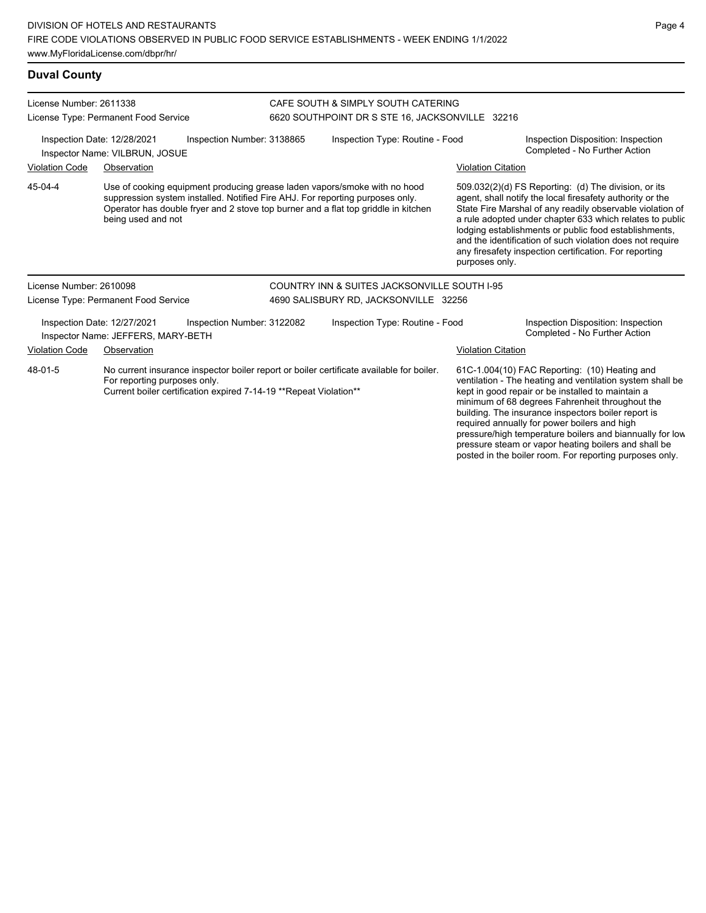| License Number: 2611338<br>License Type: Permanent Food Service                                               |                                                                                                                                                                                                                                                                        |                            | CAFE SOUTH & SIMPLY SOUTH CATERING<br>6620 SOUTHPOINT DR S STE 16, JACKSONVILLE 32216    |                                                         |                                                                                                                                                                                                                                                                                                                                                                                                                                              |                                                                     |  |
|---------------------------------------------------------------------------------------------------------------|------------------------------------------------------------------------------------------------------------------------------------------------------------------------------------------------------------------------------------------------------------------------|----------------------------|------------------------------------------------------------------------------------------|---------------------------------------------------------|----------------------------------------------------------------------------------------------------------------------------------------------------------------------------------------------------------------------------------------------------------------------------------------------------------------------------------------------------------------------------------------------------------------------------------------------|---------------------------------------------------------------------|--|
| Inspection Date: 12/28/2021<br>Inspection Number: 3138865<br>Inspector Name: VILBRUN, JOSUE                   |                                                                                                                                                                                                                                                                        |                            | Inspection Type: Routine - Food                                                          |                                                         | Inspection Disposition: Inspection<br>Completed - No Further Action                                                                                                                                                                                                                                                                                                                                                                          |                                                                     |  |
| <b>Violation Code</b>                                                                                         | Observation                                                                                                                                                                                                                                                            |                            |                                                                                          |                                                         | <b>Violation Citation</b>                                                                                                                                                                                                                                                                                                                                                                                                                    |                                                                     |  |
| 45-04-4                                                                                                       | Use of cooking equipment producing grease laden vapors/smoke with no hood<br>suppression system installed. Notified Fire AHJ. For reporting purposes only.<br>Operator has double fryer and 2 stove top burner and a flat top griddle in kitchen<br>being used and not |                            |                                                                                          |                                                         | 509.032(2)(d) FS Reporting: (d) The division, or its<br>agent, shall notify the local firesafety authority or the<br>State Fire Marshal of any readily observable violation of<br>a rule adopted under chapter 633 which relates to public<br>lodging establishments or public food establishments,<br>and the identification of such violation does not require<br>any firesafety inspection certification. For reporting<br>purposes only. |                                                                     |  |
| License Number: 2610098                                                                                       |                                                                                                                                                                                                                                                                        |                            |                                                                                          | <b>COUNTRY INN &amp; SUITES JACKSONVILLE SOUTH I-95</b> |                                                                                                                                                                                                                                                                                                                                                                                                                                              |                                                                     |  |
|                                                                                                               | License Type: Permanent Food Service                                                                                                                                                                                                                                   |                            | 4690 SALISBURY RD, JACKSONVILLE 32256                                                    |                                                         |                                                                                                                                                                                                                                                                                                                                                                                                                                              |                                                                     |  |
|                                                                                                               | Inspection Date: 12/27/2021<br>Inspector Name: JEFFERS, MARY-BETH                                                                                                                                                                                                      | Inspection Number: 3122082 | Inspection Type: Routine - Food                                                          |                                                         |                                                                                                                                                                                                                                                                                                                                                                                                                                              | Inspection Disposition: Inspection<br>Completed - No Further Action |  |
| <b>Violation Code</b><br>Observation                                                                          |                                                                                                                                                                                                                                                                        |                            |                                                                                          |                                                         | <b>Violation Citation</b>                                                                                                                                                                                                                                                                                                                                                                                                                    |                                                                     |  |
| 48-01-5<br>For reporting purposes only.<br>Current boiler certification expired 7-14-19 ** Repeat Violation** |                                                                                                                                                                                                                                                                        |                            | No current insurance inspector boiler report or boiler certificate available for boiler. |                                                         | 61C-1.004(10) FAC Reporting: (10) Heating and<br>ventilation - The heating and ventilation system shall be<br>kept in good repair or be installed to maintain a<br>minimum of 68 degrees Fahrenheit throughout the<br>building. The insurance inspectors boiler report is<br>required annually for power boilers and high                                                                                                                    |                                                                     |  |

Page 4

pressure/high temperature boilers and biannually for low pressure steam or vapor heating boilers and shall be posted in the boiler room. For reporting purposes only.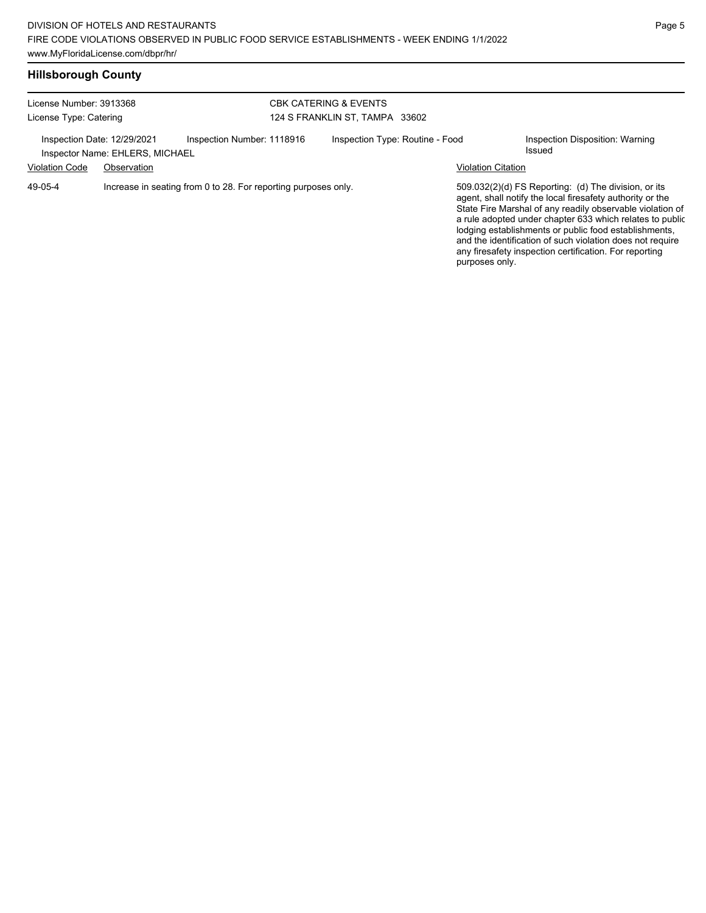## **Hillsborough County**

| License Number: 3913368<br>License Type: Catering               |                                                |                                                                                              | <b>CBK CATERING &amp; EVENTS</b><br>124 S FRANKLIN ST, TAMPA 33602 |                                 |  |                           |                                                                                                                                                                                                                                                                                                                                                                    |
|-----------------------------------------------------------------|------------------------------------------------|----------------------------------------------------------------------------------------------|--------------------------------------------------------------------|---------------------------------|--|---------------------------|--------------------------------------------------------------------------------------------------------------------------------------------------------------------------------------------------------------------------------------------------------------------------------------------------------------------------------------------------------------------|
| Inspection Date: 12/29/2021<br><b>Violation Code</b><br>49-05-4 | Inspector Name: EHLERS, MICHAEL<br>Observation | Inspection Number: 1118916<br>Increase in seating from 0 to 28. For reporting purposes only. |                                                                    | Inspection Type: Routine - Food |  | <b>Violation Citation</b> | Inspection Disposition: Warning<br>Issued<br>509.032(2)(d) FS Reporting: (d) The division, or its                                                                                                                                                                                                                                                                  |
|                                                                 |                                                |                                                                                              |                                                                    |                                 |  | purposes only.            | agent, shall notify the local firesafety authority or the<br>State Fire Marshal of any readily observable violation of<br>a rule adopted under chapter 633 which relates to public<br>lodging establishments or public food establishments,<br>and the identification of such violation does not require<br>any firesafety inspection certification. For reporting |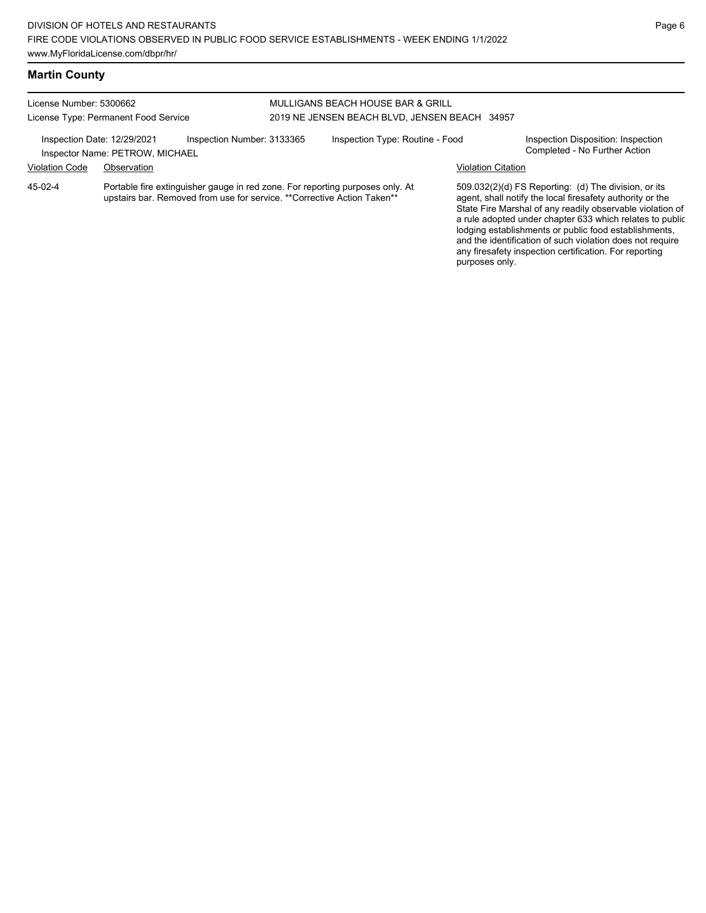## **Martin County**

| License Number: 5300662<br>License Type: Permanent Food Service |                                                                                                                                                           |                            | MULLIGANS BEACH HOUSE BAR & GRILL<br>2019 NE JENSEN BEACH BLVD, JENSEN BEACH 34957 |                                 |                           |                                                                                                                   |  |
|-----------------------------------------------------------------|-----------------------------------------------------------------------------------------------------------------------------------------------------------|----------------------------|------------------------------------------------------------------------------------|---------------------------------|---------------------------|-------------------------------------------------------------------------------------------------------------------|--|
| Inspection Date: 12/29/2021                                     | Inspector Name: PETROW, MICHAEL                                                                                                                           | Inspection Number: 3133365 |                                                                                    | Inspection Type: Routine - Food |                           | Inspection Disposition: Inspection<br>Completed - No Further Action                                               |  |
| Violation Code                                                  | Observation                                                                                                                                               |                            |                                                                                    |                                 | <b>Violation Citation</b> |                                                                                                                   |  |
| 45-02-4                                                         | Portable fire extinguisher gauge in red zone. For reporting purposes only. At<br>upstairs bar. Removed from use for service. ** Corrective Action Taken** |                            |                                                                                    |                                 |                           | 509.032(2)(d) FS Reporting: (d) The division, or its<br>agent, shall notify the local firesafety authority or the |  |

agent, shall notify the local firesafety authority or the State Fire Marshal of any readily observable violation of a rule adopted under chapter 633 which relates to public lodging establishments or public food establishments, and the identification of such violation does not require any firesafety inspection certification. For reporting purposes only.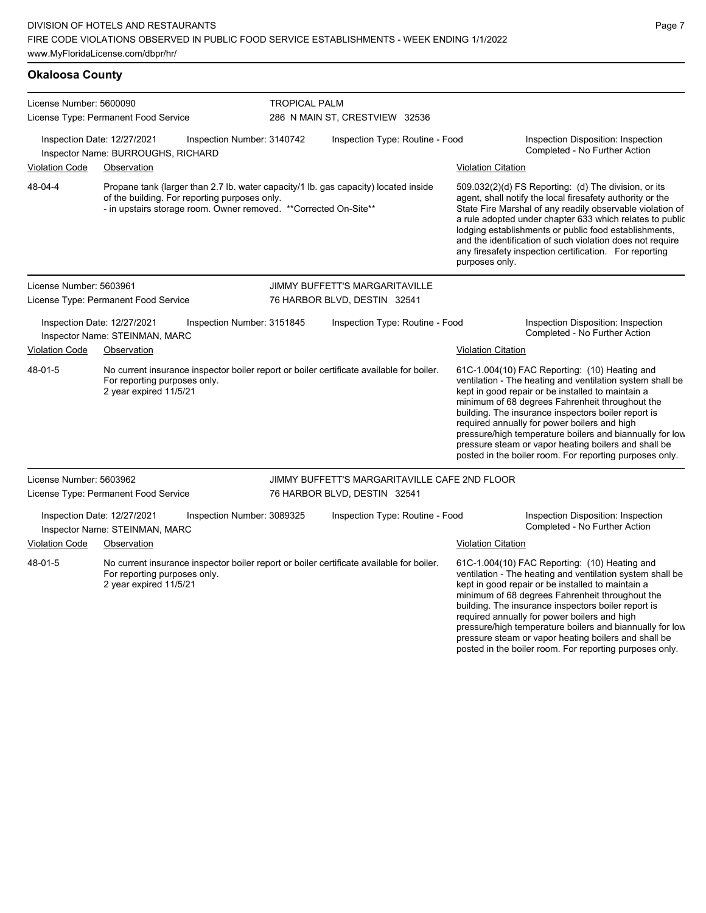**Okaloosa County** License Number: 5600090 License Type: Permanent Food Service TROPICAL PALM 286 N MAIN ST, CRESTVIEW 32536 Inspection Date: 12/27/2021 Inspection Number: 3140742 Inspection Type: Routine - Food Inspection Disposition: Inspection Completed - No Further Action Inspector Name: BURROUGHS, RICHARD Violation Code Observation Violation Citation Propane tank (larger than 2.7 lb. water capacity/1 lb. gas capacity) located inside of the building. For reporting purposes only. - in upstairs storage room. Owner removed. \*\*Corrected On-Site\*\* 509.032(2)(d) FS Reporting: (d) The division, or its agent, shall notify the local firesafety authority or the State Fire Marshal of any readily observable violation of a rule adopted under chapter 633 which relates to public lodging establishments or public food establishments, and the identification of such violation does not require any firesafety inspection certification. For reporting purposes only. 48-04-4 License Number: 5603961 License Type: Permanent Food Service JIMMY BUFFETT'S MARGARITAVILLE 76 HARBOR BLVD, DESTIN 32541 Inspection Date: 12/27/2021 Inspection Number: 3151845 Inspection Type: Routine - Food Inspection Disposition: Inspection Inspector Name: STEINMAN, MARC **Inspector Name: STEINMAN, MARC** Violation Code Observation Violation Citation No current insurance inspector boiler report or boiler certificate available for boiler. For reporting purposes only. 2 year expired 11/5/21 61C-1.004(10) FAC Reporting: (10) Heating and ventilation - The heating and ventilation system shall be kept in good repair or be installed to maintain a minimum of 68 degrees Fahrenheit throughout the building. The insurance inspectors boiler report is required annually for power boilers and high pressure/high temperature boilers and biannually for low pressure steam or vapor heating boilers and shall be posted in the boiler room. For reporting purposes only. 48-01-5 License Number: 5603962 License Type: Permanent Food Service JIMMY BUFFETT'S MARGARITAVILLE CAFE 2ND FLOOR 76 HARBOR BLVD, DESTIN 32541 Inspection Date: 12/27/2021 Inspection Number: 3089325 Inspection Type: Routine - Food Inspection Disposition: Inspection Inspector Name: STEINMAN, MARC Violation Code Observation Violation Citation No current insurance inspector boiler report or boiler certificate available for boiler. For reporting purposes only. 2 year expired 11/5/21 61C-1.004(10) FAC Reporting: (10) Heating and ventilation - The heating and ventilation system shall be kept in good repair or be installed to maintain a minimum of 68 degrees Fahrenheit throughout the building. The insurance inspectors boiler report is required annually for power boilers and high 48-01-5

pressure/high temperature boilers and biannually for low pressure steam or vapor heating boilers and shall be posted in the boiler room. For reporting purposes only.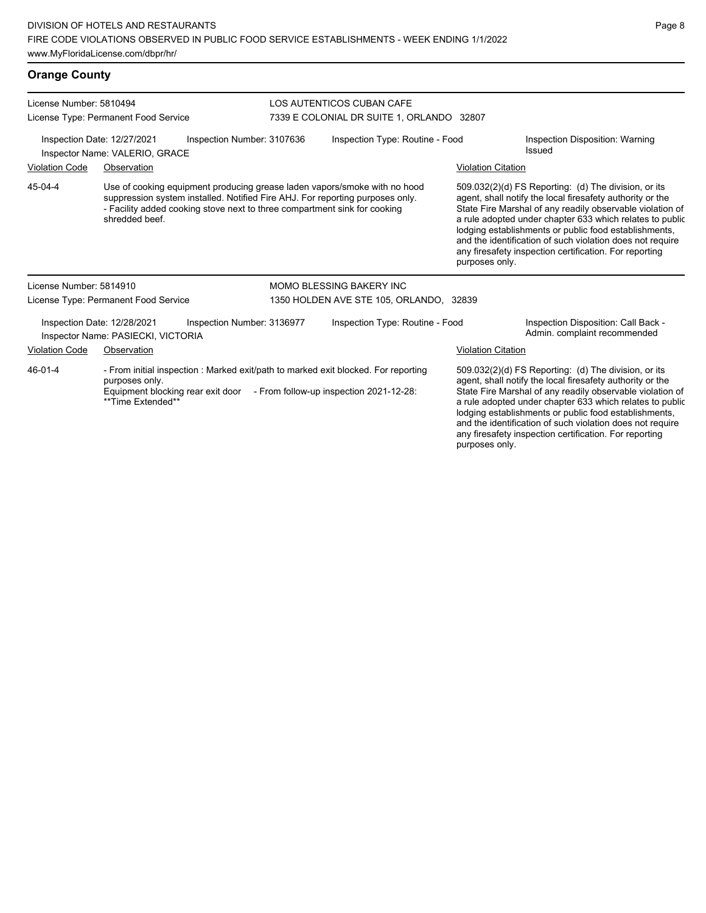| License Number: 5810494<br>License Type: Permanent Food Service                                                                                                           |                                                                                                                                                                                                                                                           |                            |  | LOS AUTENTICOS CUBAN CAFE<br>7339 E COLONIAL DR SUITE 1, ORLANDO 32807 |                                                                                                                                                                                                                                                                                                                                                                                                                                              |                                                                     |  |
|---------------------------------------------------------------------------------------------------------------------------------------------------------------------------|-----------------------------------------------------------------------------------------------------------------------------------------------------------------------------------------------------------------------------------------------------------|----------------------------|--|------------------------------------------------------------------------|----------------------------------------------------------------------------------------------------------------------------------------------------------------------------------------------------------------------------------------------------------------------------------------------------------------------------------------------------------------------------------------------------------------------------------------------|---------------------------------------------------------------------|--|
|                                                                                                                                                                           | Inspection Date: 12/27/2021<br>Inspector Name: VALERIO, GRACE                                                                                                                                                                                             | Inspection Number: 3107636 |  | Inspection Type: Routine - Food                                        |                                                                                                                                                                                                                                                                                                                                                                                                                                              | Inspection Disposition: Warning<br><b>Issued</b>                    |  |
| <b>Violation Code</b>                                                                                                                                                     | Observation                                                                                                                                                                                                                                               |                            |  |                                                                        | <b>Violation Citation</b>                                                                                                                                                                                                                                                                                                                                                                                                                    |                                                                     |  |
| 45-04-4                                                                                                                                                                   | Use of cooking equipment producing grease laden vapors/smoke with no hood<br>suppression system installed. Notified Fire AHJ. For reporting purposes only.<br>- Facility added cooking stove next to three compartment sink for cooking<br>shredded beef. |                            |  |                                                                        | 509.032(2)(d) FS Reporting: (d) The division, or its<br>agent, shall notify the local firesafety authority or the<br>State Fire Marshal of any readily observable violation of<br>a rule adopted under chapter 633 which relates to public<br>lodging establishments or public food establishments,<br>and the identification of such violation does not require<br>any firesafety inspection certification. For reporting<br>purposes only. |                                                                     |  |
| License Number: 5814910                                                                                                                                                   |                                                                                                                                                                                                                                                           |                            |  | <b>MOMO BLESSING BAKERY INC</b>                                        |                                                                                                                                                                                                                                                                                                                                                                                                                                              |                                                                     |  |
|                                                                                                                                                                           | License Type: Permanent Food Service                                                                                                                                                                                                                      |                            |  | 1350 HOLDEN AVE STE 105, ORLANDO, 32839                                |                                                                                                                                                                                                                                                                                                                                                                                                                                              |                                                                     |  |
|                                                                                                                                                                           | Inspection Date: 12/28/2021<br>Inspector Name: PASIECKI, VICTORIA                                                                                                                                                                                         | Inspection Number: 3136977 |  | Inspection Type: Routine - Food                                        |                                                                                                                                                                                                                                                                                                                                                                                                                                              | Inspection Disposition: Call Back -<br>Admin. complaint recommended |  |
| <b>Violation Code</b>                                                                                                                                                     | Observation                                                                                                                                                                                                                                               |                            |  |                                                                        | <b>Violation Citation</b>                                                                                                                                                                                                                                                                                                                                                                                                                    |                                                                     |  |
| 46-01-4<br>- From initial inspection : Marked exit/path to marked exit blocked. For reporting<br>purposes only.<br>Equipment blocking rear exit door<br>**Time Extended** |                                                                                                                                                                                                                                                           |                            |  | - From follow-up inspection 2021-12-28:                                | 509.032(2)(d) FS Reporting: (d) The division, or its<br>agent, shall notify the local firesafety authority or the<br>State Fire Marshal of any readily observable violation of<br>a rule adopted under chapter 633 which relates to public<br>lodging establishments or public food establishments,<br>and the identification of such violation does not require<br>any firesafety inspection certification. For reporting                   |                                                                     |  |

purposes only.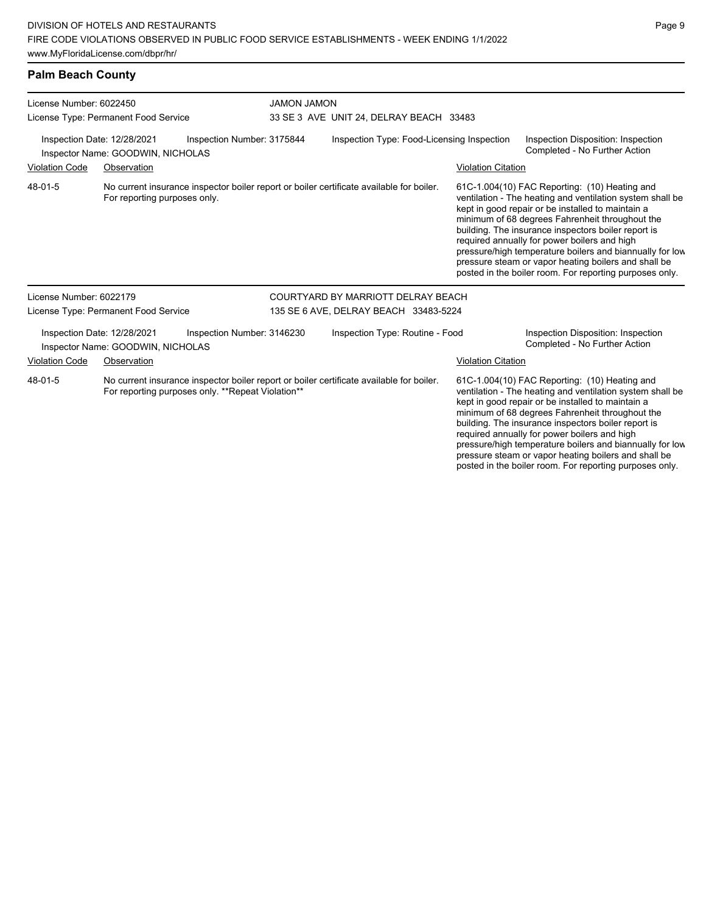| <b>Palm Beach County</b>                                                                                                                                 |                                                                  |                            |                                                                                                                                                                                                                                                                                                                                                                                                                                                                                                                                           |                                                               |                           |                                                                                                                                                                 |  |  |  |
|----------------------------------------------------------------------------------------------------------------------------------------------------------|------------------------------------------------------------------|----------------------------|-------------------------------------------------------------------------------------------------------------------------------------------------------------------------------------------------------------------------------------------------------------------------------------------------------------------------------------------------------------------------------------------------------------------------------------------------------------------------------------------------------------------------------------------|---------------------------------------------------------------|---------------------------|-----------------------------------------------------------------------------------------------------------------------------------------------------------------|--|--|--|
| License Number: 6022450<br>License Type: Permanent Food Service                                                                                          |                                                                  |                            |                                                                                                                                                                                                                                                                                                                                                                                                                                                                                                                                           | <b>UOMAL UOMAL</b><br>33 SE 3 AVE UNIT 24, DELRAY BEACH 33483 |                           |                                                                                                                                                                 |  |  |  |
| Inspection Date: 12/28/2021<br>Inspection Number: 3175844<br>Inspector Name: GOODWIN, NICHOLAS                                                           |                                                                  |                            |                                                                                                                                                                                                                                                                                                                                                                                                                                                                                                                                           | Inspection Type: Food-Licensing Inspection                    |                           | Inspection Disposition: Inspection<br>Completed - No Further Action                                                                                             |  |  |  |
| <b>Violation Code</b>                                                                                                                                    | Observation                                                      |                            |                                                                                                                                                                                                                                                                                                                                                                                                                                                                                                                                           |                                                               | <b>Violation Citation</b> |                                                                                                                                                                 |  |  |  |
| 48-01-5<br>For reporting purposes only.                                                                                                                  |                                                                  |                            | No current insurance inspector boiler report or boiler certificate available for boiler.<br>61C-1.004(10) FAC Reporting: (10) Heating and<br>ventilation - The heating and ventilation system shall be<br>kept in good repair or be installed to maintain a<br>minimum of 68 degrees Fahrenheit throughout the<br>building. The insurance inspectors boiler report is<br>required annually for power boilers and high<br>pressure/high temperature boilers and biannually for low<br>pressure steam or vapor heating boilers and shall be |                                                               |                           | posted in the boiler room. For reporting purposes only.                                                                                                         |  |  |  |
| License Number: 6022179                                                                                                                                  |                                                                  |                            |                                                                                                                                                                                                                                                                                                                                                                                                                                                                                                                                           | COURTYARD BY MARRIOTT DELRAY BEACH                            |                           |                                                                                                                                                                 |  |  |  |
|                                                                                                                                                          | License Type: Permanent Food Service                             |                            |                                                                                                                                                                                                                                                                                                                                                                                                                                                                                                                                           | 135 SE 6 AVE, DELRAY BEACH 33483-5224                         |                           |                                                                                                                                                                 |  |  |  |
|                                                                                                                                                          | Inspection Date: 12/28/2021<br>Inspector Name: GOODWIN, NICHOLAS | Inspection Number: 3146230 |                                                                                                                                                                                                                                                                                                                                                                                                                                                                                                                                           | Inspection Type: Routine - Food                               |                           | Inspection Disposition: Inspection<br>Completed - No Further Action                                                                                             |  |  |  |
| Violation Code                                                                                                                                           | Observation                                                      |                            |                                                                                                                                                                                                                                                                                                                                                                                                                                                                                                                                           |                                                               | <b>Violation Citation</b> |                                                                                                                                                                 |  |  |  |
| 48-01-5<br>No current insurance inspector boiler report or boiler certificate available for boiler.<br>For reporting purposes only. **Repeat Violation** |                                                                  |                            |                                                                                                                                                                                                                                                                                                                                                                                                                                                                                                                                           |                                                               |                           | 61C-1.004(10) FAC Reporting: (10) Heating and<br>ventilation - The heating and ventilation system shall be<br>kept in good repair or be installed to maintain a |  |  |  |

kept in good repair or be installed to maintain a minimum of 68 degrees Fahrenheit throughout the building. The insurance inspectors boiler report is required annually for power boilers and high pressure/high temperature boilers and biannually for low pressure steam or vapor heating boilers and shall be posted in the boiler room. For reporting purposes only.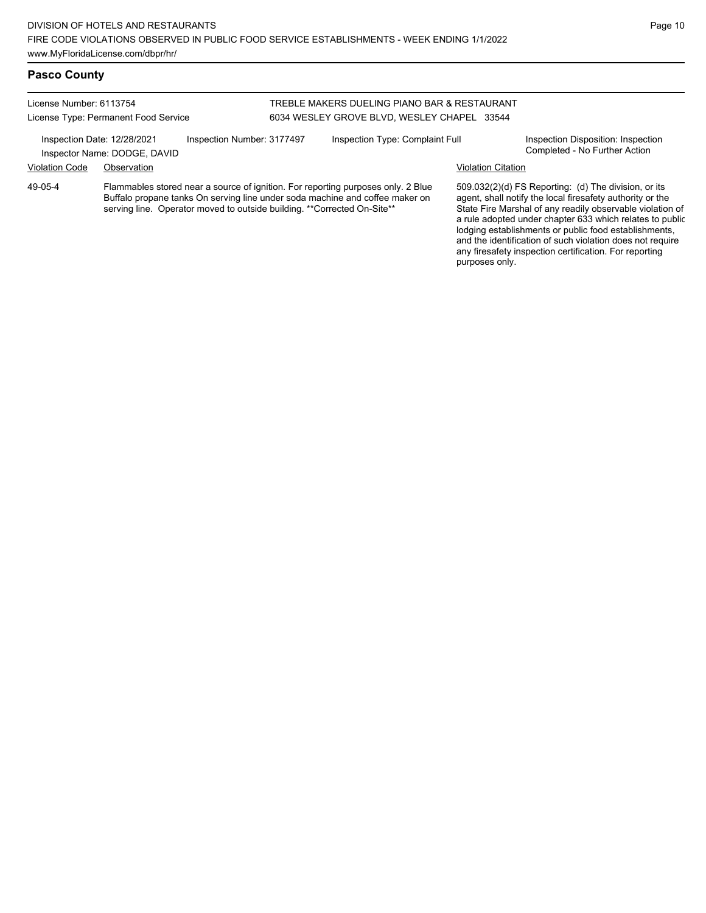## **Pasco County**

License Number: 6113754 License Type: Permanent Food Service

## TREBLE MAKERS DUELING PIANO BAR & RESTAURANT 6034 WESLEY GROVE BLVD, WESLEY CHAPEL 33544

Inspection Date: 12/28/2021 Inspection Number: 3177497 Inspection Type: Complaint Full Inspection Disposition: Inspection<br>Inspector Name: DODGE DAVID

Inspector Name: DODGE, DAVID Violation Code Observation Violation Citation

Flammables stored near a source of ignition. For reporting purposes only. 2 Blue Buffalo propane tanks On serving line under soda machine and coffee maker on serving line. Operator moved to outside building. \*\* Corrected On-Site\*\* 49-05-4

509.032(2)(d) FS Reporting: (d) The division, or its agent, shall notify the local firesafety authority or the State Fire Marshal of any readily observable violation of a rule adopted under chapter 633 which relates to public lodging establishments or public food establishments, and the identification of such violation does not require any firesafety inspection certification. For reporting purposes only.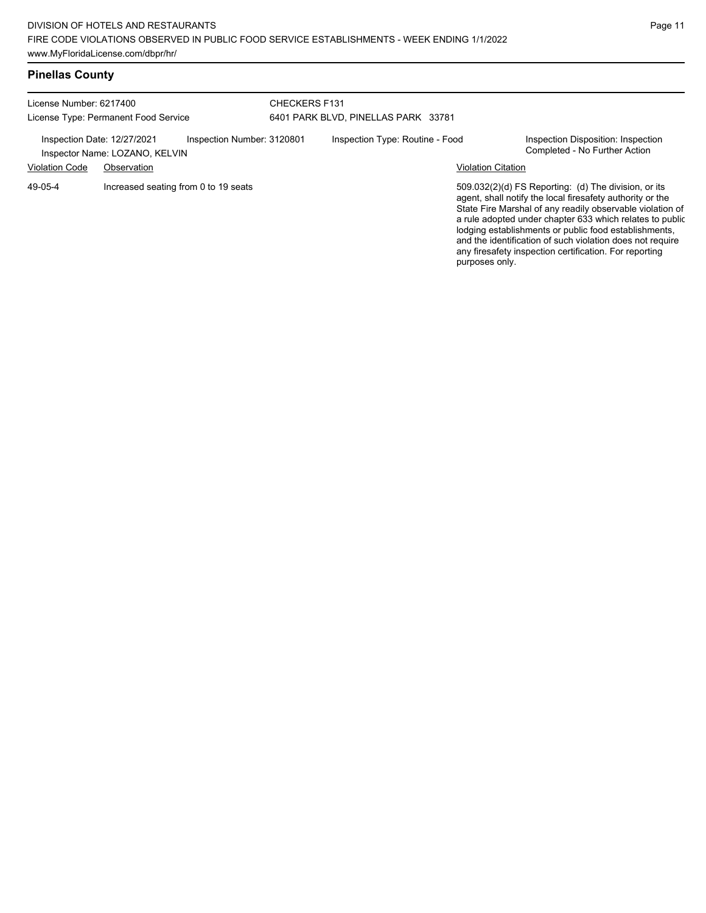| <b>Pinellas County</b> |  |
|------------------------|--|
|------------------------|--|

| License Number: 6217400<br>License Type: Permanent Food Service |                                               |                            | <b>CHECKERS F131</b><br>6401 PARK BLVD, PINELLAS PARK 33781 |                                 |                           |                                                                                                                                                                                                                                                                                                                                                                                                                            |
|-----------------------------------------------------------------|-----------------------------------------------|----------------------------|-------------------------------------------------------------|---------------------------------|---------------------------|----------------------------------------------------------------------------------------------------------------------------------------------------------------------------------------------------------------------------------------------------------------------------------------------------------------------------------------------------------------------------------------------------------------------------|
| Inspection Date: 12/27/2021<br><b>Violation Code</b>            | Inspector Name: LOZANO, KELVIN<br>Observation | Inspection Number: 3120801 |                                                             | Inspection Type: Routine - Food | <b>Violation Citation</b> | Inspection Disposition: Inspection<br>Completed - No Further Action                                                                                                                                                                                                                                                                                                                                                        |
| 49-05-4                                                         | Increased seating from 0 to 19 seats          |                            |                                                             |                                 | purposes only.            | 509.032(2)(d) FS Reporting: (d) The division, or its<br>agent, shall notify the local firesafety authority or the<br>State Fire Marshal of any readily observable violation of<br>a rule adopted under chapter 633 which relates to public<br>lodging establishments or public food establishments,<br>and the identification of such violation does not require<br>any firesafety inspection certification. For reporting |